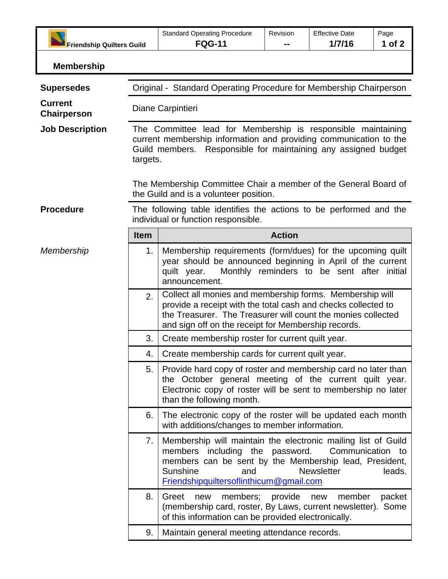| <b>Friendship Quilters Guild</b> |                                                                                                                                                                                                                                                                                       | <b>Standard Operating Procedure</b><br><b>FQG-11</b>                                                                                                                                                                                             | Revision | <b>Effective Date</b><br>1/7/16       | Page<br>1 of 2 |  |
|----------------------------------|---------------------------------------------------------------------------------------------------------------------------------------------------------------------------------------------------------------------------------------------------------------------------------------|--------------------------------------------------------------------------------------------------------------------------------------------------------------------------------------------------------------------------------------------------|----------|---------------------------------------|----------------|--|
|                                  |                                                                                                                                                                                                                                                                                       |                                                                                                                                                                                                                                                  |          |                                       |                |  |
| <b>Membership</b>                |                                                                                                                                                                                                                                                                                       |                                                                                                                                                                                                                                                  |          |                                       |                |  |
| <b>Supersedes</b>                | Original - Standard Operating Procedure for Membership Chairperson                                                                                                                                                                                                                    |                                                                                                                                                                                                                                                  |          |                                       |                |  |
| <b>Current</b><br>Chairperson    | Diane Carpintieri                                                                                                                                                                                                                                                                     |                                                                                                                                                                                                                                                  |          |                                       |                |  |
| <b>Job Description</b>           | The Committee lead for Membership is responsible maintaining<br>current membership information and providing communication to the<br>Responsible for maintaining any assigned budget<br>Guild members.<br>targets.<br>The Membership Committee Chair a member of the General Board of |                                                                                                                                                                                                                                                  |          |                                       |                |  |
| <b>Procedure</b>                 | the Guild and is a volunteer position.<br>The following table identifies the actions to be performed and the<br>individual or function responsible.                                                                                                                                   |                                                                                                                                                                                                                                                  |          |                                       |                |  |
|                                  | <b>Item</b>                                                                                                                                                                                                                                                                           | <b>Action</b>                                                                                                                                                                                                                                    |          |                                       |                |  |
| Membership                       | 1.                                                                                                                                                                                                                                                                                    | Membership requirements (form/dues) for the upcoming quilt<br>year should be announced beginning in April of the current<br>Monthly reminders to be sent after initial<br>quilt year.<br>announcement.                                           |          |                                       |                |  |
|                                  | 2.                                                                                                                                                                                                                                                                                    | Collect all monies and membership forms. Membership will<br>provide a receipt with the total cash and checks collected to<br>the Treasurer. The Treasurer will count the monies collected<br>and sign off on the receipt for Membership records. |          |                                       |                |  |
|                                  | 3.                                                                                                                                                                                                                                                                                    | Create membership roster for current quilt year.                                                                                                                                                                                                 |          |                                       |                |  |
|                                  | 4.                                                                                                                                                                                                                                                                                    | Create membership cards for current quilt year.                                                                                                                                                                                                  |          |                                       |                |  |
|                                  | 5.                                                                                                                                                                                                                                                                                    | Provide hard copy of roster and membership card no later than<br>the October general meeting of the current quilt year.<br>Electronic copy of roster will be sent to membership no later<br>than the following month.                            |          |                                       |                |  |
|                                  | 6.                                                                                                                                                                                                                                                                                    | The electronic copy of the roster will be updated each month<br>with additions/changes to member information.                                                                                                                                    |          |                                       |                |  |
|                                  | 7.                                                                                                                                                                                                                                                                                    | Membership will maintain the electronic mailing list of Guild<br>members including the password.<br>members can be sent by the Membership lead, President,<br>Sunshine<br>and<br>Friendshipquiltersoflinthicum@gmail.com                         |          | Communication to<br><b>Newsletter</b> | leads.         |  |
|                                  | 8.                                                                                                                                                                                                                                                                                    | members;<br>Greet<br>new<br>(membership card, roster, By Laws, current newsletter). Some<br>of this information can be provided electronically.                                                                                                  | provide  | member<br>new                         | packet         |  |
|                                  | 9.                                                                                                                                                                                                                                                                                    | Maintain general meeting attendance records.                                                                                                                                                                                                     |          |                                       |                |  |